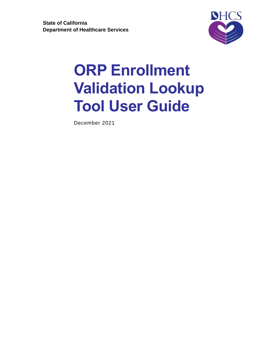

## **ORP Enrollment Validation Lookup Tool User Guide**

December 2021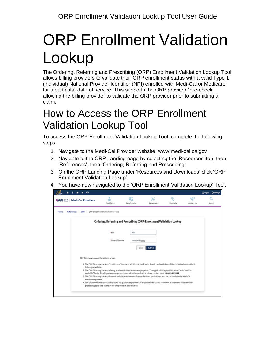# ORP Enrollment Validation Lookup

The Ordering, Referring and Prescribing (ORP) Enrollment Validation Lookup Tool allows billing providers to validate their ORP enrollment status with a valid Type 1 (individual) National Provider Identifier (NPI) enrolled with Medi-Cal or Medicare for a particular date of service. This supports the ORP provider "pre-check" allowing the billing provider to validate the ORP provider prior to submitting a claim.

### How to Access the ORP Enrollment Validation Lookup Tool

To access the ORP Enrollment Validation Lookup Tool, complete the following steps:

- 1. Navigate to the Medi-Cal Provider website: [www.medi-cal.ca.gov](http://www.medi-cal.ca.gov/)
- 2. Navigate to the ORP Landing page by selecting the 'Resources' tab, then 'References', then 'Ordering, Referring and Prescribing'.
- 3. On the ORP Landing Page under 'Resources and Downloads' click 'ORP Enrollment Validation Lookup'.
- 4. You have now navigated to the 'ORP Enrollment Validation Lookup' Tool.

| - 0<br>in.                                 |                                  |                                                                                                                                                                                                                                                                                                                                                                                                                                                                                                                                                                                                                                                                                                                  |                  |                 |                 | & Login<br><b>O</b> Settings |
|--------------------------------------------|----------------------------------|------------------------------------------------------------------------------------------------------------------------------------------------------------------------------------------------------------------------------------------------------------------------------------------------------------------------------------------------------------------------------------------------------------------------------------------------------------------------------------------------------------------------------------------------------------------------------------------------------------------------------------------------------------------------------------------------------------------|------------------|-----------------|-----------------|------------------------------|
| <b>ODHCS</b> Medi-Cal Providers            | ۰<br>Providers -                 | åî<br><b>Beneficiaries</b>                                                                                                                                                                                                                                                                                                                                                                                                                                                                                                                                                                                                                                                                                       | X<br>Resources - | ର,<br>Related - | ఆ<br>Contact Us | Q<br>Search                  |
| References<br>ORP<br>Home                  | ORP Enrollment Validation Lookup |                                                                                                                                                                                                                                                                                                                                                                                                                                                                                                                                                                                                                                                                                                                  |                  |                 |                 |                              |
|                                            |                                  | Ordering, Referring and Prescribing (ORP) Enrollment Validation Lookup                                                                                                                                                                                                                                                                                                                                                                                                                                                                                                                                                                                                                                           |                  |                 |                 |                              |
|                                            | * NPI                            | NPI                                                                                                                                                                                                                                                                                                                                                                                                                                                                                                                                                                                                                                                                                                              |                  |                 |                 |                              |
|                                            | * Date Of Service                | mm/dd/yyyy                                                                                                                                                                                                                                                                                                                                                                                                                                                                                                                                                                                                                                                                                                       |                  |                 |                 |                              |
|                                            |                                  | Clear                                                                                                                                                                                                                                                                                                                                                                                                                                                                                                                                                                                                                                                                                                            | Submit           |                 |                 |                              |
| ORP Directory Lookup Conditions of Use:    |                                  |                                                                                                                                                                                                                                                                                                                                                                                                                                                                                                                                                                                                                                                                                                                  |                  |                 |                 |                              |
| Cal.ca.gov website.<br>enrollment process. |                                  | 1. The ORP Directory Lookup Conditions of Use are in addition to, and not in lieu of, the Conditions of Use contained on the Medi-<br>2. The ORP Directory Lookup is being made available for user test purposes. The application is provided on an "as-is" and "as<br>available" basis. Should you encounter any issues with the application please contact us at 1-800-541-5555.<br>3. The ORP Directory Lookup does not include providers who have submitted applications and are currently in the Medi-Cal<br>4. Use of the ORP Directory Lookup does not guarantee payment of any submitted claims. Payment is subject to all other claim<br>processing edits and audits at the time of claim adjudication. |                  |                 |                 |                              |
|                                            |                                  |                                                                                                                                                                                                                                                                                                                                                                                                                                                                                                                                                                                                                                                                                                                  |                  |                 |                 |                              |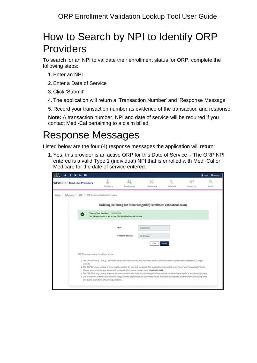### How to Search by NPI to Identify ORP Providers

To search for an NPI to validate their enrollment status for ORP, complete the following steps:

- 1.Enter an NPI
- 2.Enter a Date of Service
- 3. Click 'Submit'
- 4. The application will return a 'Transaction Number' and 'Response Message'
- 5. Record your transaction number as evidence of the transaction and response.

**Note:** A transaction number, NPI and date of service will be required if you contact Medi-Cal pertaining to a claim billed.

#### Response Messages

Listed below are the four (4) response messages the application will return:

1.Yes, this provider is an active ORP for this Date of Service – The ORP NPI entered is a valid Type 1 (individual) NPI that is enrolled with Medi-Cal or Medicare for the date of service entered.

|      |            |                                 | $\bullet$ |                                                                                                |                     |                                                                                                                                                                                                                                                                                                                                                                                                                                                                                                                                                                                                                                                                                               |                 |                   | Login Osettings |
|------|------------|---------------------------------|-----------|------------------------------------------------------------------------------------------------|---------------------|-----------------------------------------------------------------------------------------------------------------------------------------------------------------------------------------------------------------------------------------------------------------------------------------------------------------------------------------------------------------------------------------------------------------------------------------------------------------------------------------------------------------------------------------------------------------------------------------------------------------------------------------------------------------------------------------------|-----------------|-------------------|-----------------|
|      |            | <b>ODHCS</b> Medi-Cal Providers |           | å<br>Provident .                                                                               | åŝ<br>Seseficiaries | x<br>Resources -                                                                                                                                                                                                                                                                                                                                                                                                                                                                                                                                                                                                                                                                              | ର,<br>Related = | e53<br>Contact Us | Search          |
| Home | References | CRP                             |           | ORP Enrollment Validation Lookup                                                               |                     |                                                                                                                                                                                                                                                                                                                                                                                                                                                                                                                                                                                                                                                                                               |                 |                   |                 |
|      |            |                                 |           |                                                                                                |                     | Ordering, Referring and Prescribing (ORP) Enrollment Validation Lookup                                                                                                                                                                                                                                                                                                                                                                                                                                                                                                                                                                                                                        |                 |                   |                 |
|      |            |                                 |           | Transaction Number: 1309000008<br>Yes, this provider is an active ORP for this Date of Service |                     |                                                                                                                                                                                                                                                                                                                                                                                                                                                                                                                                                                                                                                                                                               |                 |                   |                 |
|      |            |                                 |           |                                                                                                | *NPI                | 1003000175                                                                                                                                                                                                                                                                                                                                                                                                                                                                                                                                                                                                                                                                                    |                 |                   |                 |
|      |            |                                 |           |                                                                                                | * Date Of Service   | 07/27/2021<br>CHA                                                                                                                                                                                                                                                                                                                                                                                                                                                                                                                                                                                                                                                                             | Submit          |                   |                 |
|      |            |                                 |           | ORP Directory Lookup Conditions of Use:                                                        |                     |                                                                                                                                                                                                                                                                                                                                                                                                                                                                                                                                                                                                                                                                                               |                 |                   |                 |
|      |            |                                 | website.  |                                                                                                |                     | 1. The ORP Directory Lookup Conditions of Use are in addition to, and not in lieu of, the Conditions of Use contained on the Medi-Cal.ca.gov<br>2. The ORP Directory Lookup is being made available for user test purposes. The application is provided on an "as-is" and "as available" basis.<br>Should you encounter any issues with the application please contact us at 1-800-541-5555.<br>3. The ORP Directory Lookup does not include providers who have submitted applications and are currently in the Medi-Cal enrollment process.<br>4. Use of the ORP Directory Lookup does not guarantee payment of any submitted claims. Payment is subject to all other claim processing edits |                 |                   |                 |
|      |            |                                 |           | and audits at the time of claim adjudication.                                                  |                     |                                                                                                                                                                                                                                                                                                                                                                                                                                                                                                                                                                                                                                                                                               |                 |                   |                 |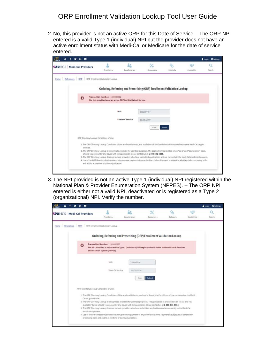#### ORP Enrollment Validation Lookup Tool User Guide

2. No, this provider is not an active ORP for this Date of Service – The ORP NPI entered is a valid Type 1 (individual) NPI but the provider does not have an active enrollment status with Medi-Cal or Medicare for the date of service entered.

| $\bullet$                       |                                               |                                                                             |                                                             |                                                                 |                                                                                                     | Login Osettings                                                                                                                                                                                                                                                                                                                                                                                                                                                                                                                                                                                                                                                           |
|---------------------------------|-----------------------------------------------|-----------------------------------------------------------------------------|-------------------------------------------------------------|-----------------------------------------------------------------|-----------------------------------------------------------------------------------------------------|---------------------------------------------------------------------------------------------------------------------------------------------------------------------------------------------------------------------------------------------------------------------------------------------------------------------------------------------------------------------------------------------------------------------------------------------------------------------------------------------------------------------------------------------------------------------------------------------------------------------------------------------------------------------------|
| <b>ODHCS</b> Medi-Cal Providers | 2<br>Providers +                              | åi<br><b>Benehciaries</b>                                                   | $\propto$<br>Resources +                                    | କ,<br>Related .                                                 | <b>CB</b><br>Contact Us                                                                             | Search                                                                                                                                                                                                                                                                                                                                                                                                                                                                                                                                                                                                                                                                    |
| ORP                             |                                               |                                                                             |                                                             |                                                                 |                                                                                                     |                                                                                                                                                                                                                                                                                                                                                                                                                                                                                                                                                                                                                                                                           |
|                                 |                                               |                                                                             |                                                             |                                                                 |                                                                                                     |                                                                                                                                                                                                                                                                                                                                                                                                                                                                                                                                                                                                                                                                           |
| O                               |                                               |                                                                             |                                                             |                                                                 |                                                                                                     |                                                                                                                                                                                                                                                                                                                                                                                                                                                                                                                                                                                                                                                                           |
|                                 |                                               |                                                                             | 1992994487                                                  |                                                                 |                                                                                                     |                                                                                                                                                                                                                                                                                                                                                                                                                                                                                                                                                                                                                                                                           |
|                                 |                                               |                                                                             | 10/05/2009<br>Clear                                         |                                                                 |                                                                                                     |                                                                                                                                                                                                                                                                                                                                                                                                                                                                                                                                                                                                                                                                           |
|                                 |                                               |                                                                             |                                                             |                                                                 |                                                                                                     |                                                                                                                                                                                                                                                                                                                                                                                                                                                                                                                                                                                                                                                                           |
| website.                        |                                               |                                                                             |                                                             |                                                                 |                                                                                                     |                                                                                                                                                                                                                                                                                                                                                                                                                                                                                                                                                                                                                                                                           |
|                                 | and audits at the time of claim adjudication. |                                                                             |                                                             |                                                                 |                                                                                                     |                                                                                                                                                                                                                                                                                                                                                                                                                                                                                                                                                                                                                                                                           |
|                                 |                                               | ORP Enrollment Validation Lookup<br>ORP Directory Lookup Conditions of Use: | Transaction Number: 1309000012<br>*NPI<br>* Date Of Service | No, this provider is not an active ORP for this Date of Service | Submit<br>Should you encounter any issues with the application please contact us at 1-800-541-5555. | Ordering, Referring and Prescribing (ORP) Enrollment Validation Lookup<br>1. The ORP Directory Lookup Conditions of Use are in addition to, and not in lieu of, the Conditions of Use contained on the Medi-CaLca.gov<br>2. The ORP Directory Lookup is being made available for user test purposes. The application is provided on an "as-is" and "as available" basis.<br>3. The ORP Directory Lookup does not include providers who have submitted applications and are currently in the Medi-Cal enrollment process.<br>4. Use of the ORP Directory Lookup does not guarantee payment of any submitted claims, Payment is subject to all other claim processing edits |

3. The NPI provided is not an active Type 1 (individual) NPI registered within the National Plan & Provider Enumeration System (NPPES). – The ORP NPI entered is either not a valid NPI, deactivated or is registered as a Type 2 (organizational) NPI. Verify the number.

|                          | $\mathbf{b}$ $\mathbf{a}$                                                             |                                                                                                                                                                                                                                                                                                                                                                                                                                                                                                                                                                                                                                                                                                                  |                            |             |           |                    | & Login<br><b>O</b> Settings |
|--------------------------|---------------------------------------------------------------------------------------|------------------------------------------------------------------------------------------------------------------------------------------------------------------------------------------------------------------------------------------------------------------------------------------------------------------------------------------------------------------------------------------------------------------------------------------------------------------------------------------------------------------------------------------------------------------------------------------------------------------------------------------------------------------------------------------------------------------|----------------------------|-------------|-----------|--------------------|------------------------------|
| ODHCS Medi-Cal Providers |                                                                                       | Providers -                                                                                                                                                                                                                                                                                                                                                                                                                                                                                                                                                                                                                                                                                                      | åi<br><b>Beneficiaries</b> | Resources - | Related + | $+53$<br>ContactUs | Search                       |
| References<br>Home       | ORP                                                                                   | ORP Enrollment Validation Lookup                                                                                                                                                                                                                                                                                                                                                                                                                                                                                                                                                                                                                                                                                 |                            |             |           |                    |                              |
|                          |                                                                                       | Ordering, Referring and Prescribing (ORP) Enrollment Validation Lookup                                                                                                                                                                                                                                                                                                                                                                                                                                                                                                                                                                                                                                           |                            |             |           |                    |                              |
|                          |                                                                                       | Transaction Number: 1309000235<br>The NPI provided is not an active Type 1 (Individual) NPI registered with in the National Plan & Provider<br><b>Enumeration System (NPPES).</b>                                                                                                                                                                                                                                                                                                                                                                                                                                                                                                                                |                            |             |           |                    |                              |
|                          |                                                                                       | " NPI                                                                                                                                                                                                                                                                                                                                                                                                                                                                                                                                                                                                                                                                                                            | 1053532143                 |             |           |                    |                              |
|                          |                                                                                       | * Date Of Service                                                                                                                                                                                                                                                                                                                                                                                                                                                                                                                                                                                                                                                                                                | 01/01/2020                 |             |           |                    |                              |
|                          |                                                                                       |                                                                                                                                                                                                                                                                                                                                                                                                                                                                                                                                                                                                                                                                                                                  | Clear                      | Submit      |           |                    |                              |
|                          | ORP Directory Lookup Conditions of Use:<br>Cal.ca.gov website.<br>enrollment process. | 1. The ORP Directory Lookup Conditions of Use are in addition to, and not in lieu of, the Conditions of Use contained on the Medi-<br>2. The ORP Directory Lookup is being made available for user test purposes. The application is provided on an "as-is" and "as<br>available" basis. Should you encounter any issues with the application please contact us at 1-800-541-5555.<br>3. The ORP Directory Lookup does not include providers who have submitted applications and are currently in the Medi-Cal<br>4. Use of the ORP Directory Lookup does not guarantee payment of any submitted claims. Payment is subject to all other claim<br>processing edits and audits at the time of claim adjudication. |                            |             |           |                    |                              |